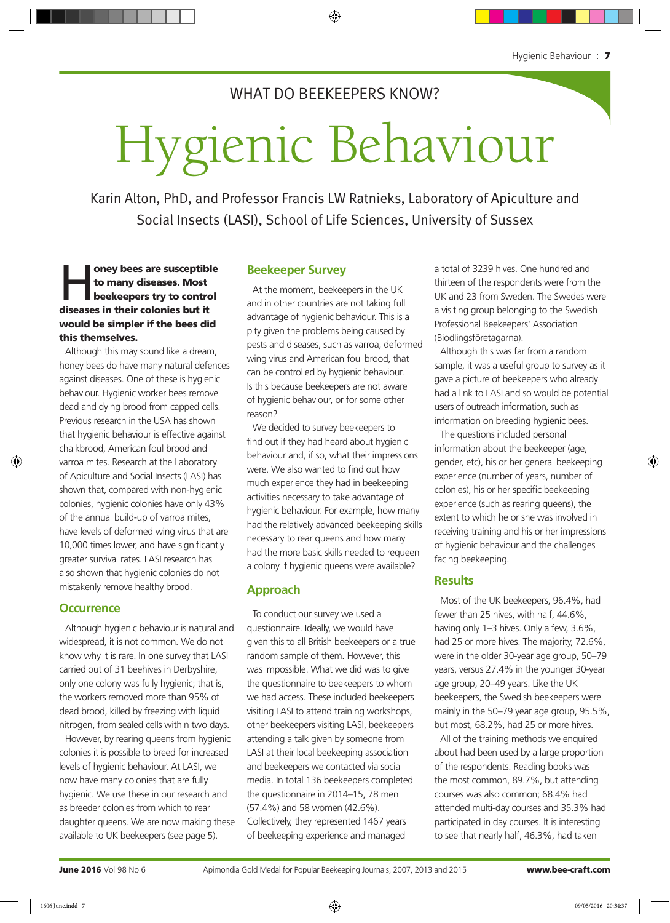## WHAT DO BEEKEEPERS KNOW?

# Hygienic Behaviour

Karin Alton, PhD, and Professor Francis LW Ratnieks, Laboratory of Apiculture and Social Insects (LASI), School of Life Sciences, University of Sussex

oney bees are susceptible<br>to many diseases. Most<br>beekeepers try to control to many diseases. Most beekeepers try to control diseases in their colonies but it would be simpler if the bees did this themselves.

Although this may sound like a dream, honey bees do have many natural defences against diseases. One of these is hygienic behaviour. Hygienic worker bees remove dead and dying brood from capped cells. Previous research in the USA has shown that hygienic behaviour is effective against chalkbrood, American foul brood and varroa mites. Research at the Laboratory of Apiculture and Social Insects (LASI) has shown that, compared with non-hygienic colonies, hygienic colonies have only 43% of the annual build-up of varroa mites, have levels of deformed wing virus that are 10,000 times lower, and have significantly greater survival rates. LASI research has also shown that hygienic colonies do not mistakenly remove healthy brood.

### **Occurrence**

Although hygienic behaviour is natural and widespread, it is not common. We do not know why it is rare. In one survey that LASI carried out of 31 beehives in Derbyshire, only one colony was fully hygienic; that is, the workers removed more than 95% of dead brood, killed by freezing with liquid nitrogen, from sealed cells within two days.

However, by rearing queens from hygienic colonies it is possible to breed for increased levels of hygienic behaviour. At LASI, we now have many colonies that are fully hygienic. We use these in our research and as breeder colonies from which to rear daughter queens. We are now making these available to UK beekeepers (see page 5).

#### **Beekeeper Survey**

At the moment, beekeepers in the UK and in other countries are not taking full advantage of hygienic behaviour. This is a pity given the problems being caused by pests and diseases, such as varroa, deformed wing virus and American foul brood, that can be controlled by hygienic behaviour. Is this because beekeepers are not aware of hygienic behaviour, or for some other reason?

We decided to survey beekeepers to find out if they had heard about hygienic behaviour and, if so, what their impressions were. We also wanted to find out how much experience they had in beekeeping activities necessary to take advantage of hygienic behaviour. For example, how many had the relatively advanced beekeeping skills necessary to rear queens and how many had the more basic skills needed to requeen a colony if hygienic queens were available?

### **Approach**

To conduct our survey we used a questionnaire. Ideally, we would have given this to all British beekeepers or a true random sample of them. However, this was impossible. What we did was to give the questionnaire to beekeepers to whom we had access. These included beekeepers visiting LASI to attend training workshops, other beekeepers visiting LASI, beekeepers attending a talk given by someone from LASI at their local beekeeping association and beekeepers we contacted via social media. In total 136 beekeepers completed the questionnaire in 2014–15, 78 men (57.4%) and 58 women (42.6%). Collectively, they represented 1467 years of beekeeping experience and managed

a total of 3239 hives. One hundred and thirteen of the respondents were from the UK and 23 from Sweden. The Swedes were a visiting group belonging to the Swedish Professional Beekeepers' Association (Biodlingsföretagarna).

Although this was far from a random sample, it was a useful group to survey as it gave a picture of beekeepers who already had a link to LASI and so would be potential users of outreach information, such as information on breeding hygienic bees.

The questions included personal information about the beekeeper (age, gender, etc), his or her general beekeeping experience (number of years, number of colonies), his or her specific beekeeping experience (such as rearing queens), the extent to which he or she was involved in receiving training and his or her impressions of hygienic behaviour and the challenges facing beekeeping.

#### **Results**

Most of the UK beekeepers, 96.4%, had fewer than 25 hives, with half, 44.6%, having only 1-3 hives. Only a few, 3.6%, had 25 or more hives. The majority, 72.6%, were in the older 30-year age group, 50–79 years, versus 27.4% in the younger 30-year age group, 20–49 years. Like the UK beekeepers, the Swedish beekeepers were mainly in the 50–79 year age group, 95.5%, but most, 68.2%, had 25 or more hives.

All of the training methods we enquired about had been used by a large proportion of the respondents. Reading books was the most common, 89.7%, but attending courses was also common; 68.4% had attended multi-day courses and 35.3% had participated in day courses. It is interesting to see that nearly half, 46.3%, had taken